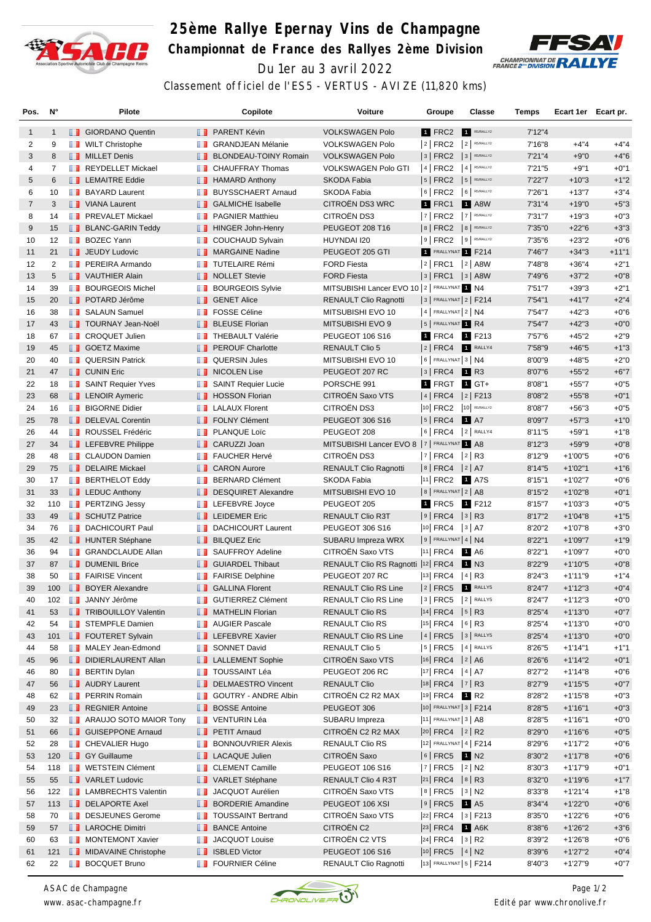

## **25ème Rallye Epernay Vins de Champagne Championnat de France des Rallyes 2ème Division** Du 1er au 3 avril 2022



Classement officiel de l'ES5 - VERTUS - AVIZE (11,820 kms)

| Pos.           | N°             |   | <b>Pilote</b>                     |                   | Copilote                        | Voiture                                      | Groupe                       | Classe               | Temps   | Ecart 1er Ecart pr. |         |
|----------------|----------------|---|-----------------------------------|-------------------|---------------------------------|----------------------------------------------|------------------------------|----------------------|---------|---------------------|---------|
| 1              | $\mathbf{1}$   |   | <b>B</b> GIORDANO Quentin         |                   | <b>FRARENT Kévin</b>            | <b>VOLKSWAGEN Polo</b>                       | 1 FRC2                       | R5/RALLY2            | 7'12''4 |                     |         |
| 2              | 9              |   | <b>WILT Christophe</b>            |                   | <b>B</b> GRANDJEAN Mélanie      | <b>VOLKSWAGEN Polo</b>                       | $ 2 $ FRC2                   | $2$ R5/RALLY2        | 7'16"8  | $+4"4$              | $+4"4$  |
| 3              | 8              |   | <b>NILLET</b> Denis               | ш                 | <b>BLONDEAU-TOINY Romain</b>    | <b>VOLKSWAGEN Polo</b>                       | $ 3 $ FRC2                   | 3 R5/RALLY2          | 7'21''4 | $+9"0$              | $+4"6$  |
| 4              | $\overline{7}$ |   | REYDELLET Mickael                 | m                 | <b>CHAUFFRAY Thomas</b>         | <b>VOLKSWAGEN Polo GTI</b>                   | 4 FRC2                       | $4$ R5/RALLY2        | 7'21"5  | $+9"1$              | $+0"1$  |
| 5              | 6              |   | <b>LEMAITRE Eddie</b>             |                   | <b>B</b> HAMARD Anthony         | <b>SKODA Fabia</b>                           | $ 5 $ FRC2                   | 5 R5/RALLY2          | 7'22"7  | $+10"3$             | $+1"2$  |
| 6              | 10             |   | <b>BAYARD Laurent</b>             | <b>The Co</b>     | <b>BUYSSCHAERT Arnaud</b>       | SKODA Fabia                                  | $6$ FRC2                     | 6 R5/RALLY2          | 7'26"1  | $+13"7$             | $+3"4$  |
| $\overline{7}$ | 3              |   | VIANA Laurent                     | ш                 | <b>GALMICHE Isabelle</b>        | CITROËN DS3 WRC                              | 1 FRC1                       | <b>1 A8W</b>         | 7'31"4  | $+19"0$             | $+5"3$  |
| 8              | 14             |   | <b>FREVALET Mickael</b>           | <b>THE R</b>      | <b>PAGNIER Matthieu</b>         | CITROËN DS3                                  | $ 7 $ FRC2                   | 7 R5/RALLY2          | 7'31"7  | $+19"3$             | $+0"3$  |
| 9              | 15             |   | <b>BLANC-GARIN Teddy</b>          | ш                 | <b>HINGER John-Henry</b>        | PEUGEOT 208 T16                              | $ 8 $ FRC2                   | 8 R5/RALLY2          | 7'35"0  | $+22"6$             | $+3"3$  |
| 10             | 12             |   | <b>BOZEC Yann</b>                 | ш                 | <b>COUCHAUD Sylvain</b>         | HUYNDAI I20                                  | $ 9 $ FRC2                   | $9$ R5/RALLY2        | 7'35"6  | $+23"2$             | $+0"6$  |
| 11             | 21             |   | <b>I</b> JEUDY Ludovic            |                   | <b>NARGAINE Nadine</b>          | PEUGEOT 205 GTI                              | 1 FRALLYNAT 1 F214           |                      | 7'46"7  | $+34"3$             | $+11"1$ |
| 12             | 2              |   | <b>T</b> PEREIRA Armando          | <b>The Co</b>     | <b>TUTELAIRE Rémi</b>           | <b>FORD Fiesta</b>                           | 2   FRC1                     | $ 2 $ A8W            | 7'48"8  | $+36"4$             | $+2"1$  |
| 13             | 5              |   | VAUTHIER Alain                    | ш                 | <b>NOLLET Stevie</b>            | <b>FORD Fiesta</b>                           | $ 3 $ FRC1                   | $ 3 $ A8W            | 7'49"6  | $+37"2$             | $+0"8$  |
| 14             | 39             |   | <b>BOURGEOIS Michel</b>           | <b>The Co</b>     | <b>BOURGEOIS Sylvie</b>         | MITSUBISHI Lancer EVO 10 2   FRALLYNAT 1 N4  |                              |                      | 7'51"7  | $+39"3$             | $+2"1$  |
| 15             | 20             |   | <b>DE POTARD Jérôme</b>           | <b>II</b>         | <b>GENET Alice</b>              | <b>RENAULT Clio Ragnotti</b>                 | 3   FRALLYNAT 2   F214       |                      | 7'54"1  | $+41"7$             | $+2"4$  |
| 16             | 38             |   | <b>B</b> SALAUN Samuel            | ш                 | <b>FOSSE Céline</b>             | MITSUBISHI EVO 10                            | 4 FRALLYNAT 2 N4             |                      | 7'54"7  | $+42"3$             | $+0"6$  |
| 17             | 43             |   | <b>T</b> TOURNAY Jean-Noël        | <b>II</b>         | <b>BLEUSE Florian</b>           | MITSUBISHI EVO 9                             | 5 FRALLYNAT 1 R4             |                      | 7'54"7  | $+42"3$             | $+0"0$  |
| 18             | 67             |   | <b>T</b> CROQUET Julien           | <b>The Co</b>     | <b>THEBAULT Valérie</b>         | <b>PEUGEOT 106 S16</b>                       | 1 FRC4 1 F213                |                      | 7'57"6  | $+45"2$             | $+2"9$  |
| 19             | 45             |   | <b>B</b> GOETZ Maxime             | ш                 | <b>PEROUF Charlotte</b>         | <b>RENAULT Clio 5</b>                        | $ 2 $ FRC4                   | RALLY4               | 7'58"9  | $+46"5$             | $+1"3$  |
| 20             | 40             |   | <b>DE QUERSIN Patrick</b>         | <b>TELEVISION</b> | <b>QUERSIN Jules</b>            | MITSUBISHI EVO 10                            | $6$ FRALLYNAT 3   N4         |                      | 8'00"9  | $+48"5$             | $+2"0$  |
| 21             | 47             |   | <b>CUNIN Eric</b>                 | <b>II</b>         | <b>NICOLEN Lise</b>             | PEUGEOT 207 RC                               | $ 3 $ FRC4                   | <b>1</b> R3          | 8'07"6  | $+55"2$             | $+6"7$  |
| 22             | 18             |   | SAINT Requier Yves                | ш                 | <b>SAINT Requier Lucie</b>      | PORSCHE 991                                  | 1 FRGT 1 GT+                 |                      | 8'08"1  | $+55"7$             | $+0"5$  |
| 23             | 68             |   | <b>EXP</b> LENOIR Aymeric         | ш                 | <b>HOSSON Florian</b>           | CITROËN Saxo VTS                             | $4$ FRC4                     | $ 2 $ F213           | 8'08"2  | $+55"8$             | $+0"1$  |
| 24             | 16             |   | <b>BIGORNE Didier</b>             | <b>TELEVISION</b> | <b>LALAUX Florent</b>           | CITROËN DS3                                  | 10 FRC2                      | 10 R5/RALLY2         | 8'08"7  | $+56"3$             | $+0"5$  |
| 25             | 78             |   | DELEVAL Corentin                  | <b>II</b>         | <b>FOLNY Clément</b>            | <b>PEUGEOT 306 S16</b>                       | $ 5 $ FRC4                   | <b>1</b> A7          | 8'09"7  | $+57"3$             | $+1"0$  |
| 26             | 44             |   | <b>ROUSSEL Frédéric</b>           | ш                 | PLANQUE Loïc                    | PEUGEOT 208                                  | $ 6 $ FRC4                   | 2 RALLY4             | 8'11"5  | $+59"1$             | $+1"8$  |
| 27             | 34             |   | <b>EXECUTE:</b> LEFEBVRE Philippe | . .               | CARUZZI Joan                    | MITSUBISHI Lancer EVO 8   7   FRALLYNAT 1 A8 |                              |                      | 8'12''3 | $+59"9$             | $+0"8$  |
| 28             | 48             |   | <b>CLAUDON Damien</b>             | <b>A 19</b>       | <b>FAUCHER Hervé</b>            | CITROËN DS3                                  | $ 7 $ FRC4                   | $ 2 $ R3             | 8'12"9  | $+1'00"5$           | $+0"6$  |
| 29             | 75             |   | DELAIRE Mickael                   | . .               | <b>CARON Aurore</b>             | <b>RENAULT Clio Ragnotti</b>                 | $ 8 $ FRC4                   | 2 A7                 | 8'14"5  | $+1'02"1$           | $+1"6$  |
| 30             | 17             |   | <b>BERTHELOT Eddy</b>             |                   | <b>BERNARD Clément</b>          | <b>SKODA Fabia</b>                           | 11 FRC2 1 A7S                |                      | 8'15"1  | $+1'02"7$           | $+0"6$  |
| 31             | 33             |   | $\blacksquare$ LEDUC Anthony      |                   | DESQUIRET Alexandre             | MITSUBISHI EVO 10                            | 8   FRALLYNAT   2   A8       |                      | 8'15"2  | $+1'02"8$           | $+0"1$  |
| 32             | 110            |   | <b>PERTZING Jessy</b>             | m                 | LEFEBVRE Joyce                  | PEUGEOT 205                                  | 1 FRC5                       | 1 F212               | 8'15"7  | $+1'03"3$           | $+0"5$  |
| 33             | 49             |   | SCHUTZ Patrice                    | . .               | <b>LEIDEMER Eric</b>            | RENAULT Clio R3T                             | $ 9 $ FRC4                   | $ 3 $ R3             | 8'17"2  | $+1'04''8$          | $+1"5$  |
| 34             | 76             |   | <b>DACHICOURT Paul</b>            | <b>THE R</b>      | <b>DACHICOURT Laurent</b>       | <b>PEUGEOT 306 S16</b>                       | $ 10 $ FRC4                  | $ 3 $ A7             | 8'20"2  | $+1'07"8$           | $+3"0$  |
| 35             | 42             |   | <b>HUNTER Stéphane</b>            | ш                 | <b>BILQUEZ Eric</b>             | SUBARU Impreza WRX                           | $9$ Frallynat 4   N4         |                      | 8'22"1  | $+1'09"7$           | $+1"9$  |
| 36             | 94             | w | <b>GRANDCLAUDE Allan</b>          | w                 | <b>SAUFFROY Adeline</b>         | CITROËN Saxo VTS                             | 11 FRC4                      | 1 A6                 | 8'22"1  | $+1'09"7$           | $+0"0$  |
| 37             | 87             |   | <b>DUMENIL Brice</b>              |                   | <b>B</b> GUIARDEL Thibaut       | RENAULT Clio RS Ragnotti  12 FRC4            |                              | 1 N3                 | 8'22"9  | $+1'10"5$           | $+0"8$  |
| 38             | 50             |   | <b>FAIRISE Vincent</b>            | ш                 | <b>FAIRISE Delphine</b>         | PEUGEOT 207 RC                               | $ 13 $ FRC4                  | $ 4 $ R <sub>3</sub> | 8'24"3  | $+1'11''9$          | $+1"4$  |
| 39             | 100            |   | <b>BOYER Alexandre</b>            |                   | <b>B</b> GALLINA Florent        | <b>RENAULT Clio RS Line</b>                  | $ 2 $ FRC5                   | RALLY5               | 8'24"7  | $+1'12"3$           | $+0"4$  |
| 40             | 102            |   | <b>JANNY Jérôme</b>               |                   | <b>B</b> GUTIERREZ Clément      | RENAULT Clio RS Line                         | 3   FRC5                     | 2 RALLY5             | 8'24"7  | +1'12"3             | $+0"0$  |
| 41             | 53             |   | <b>TRIBOUILLOY Valentin</b>       |                   | MATHELIN Florian                | RENAULT Clio RS                              | <sup>14</sup> FRC4           | $ 5 $ R3             | 8'25"4  | $+1'13'0$           | $+0"7$  |
| 42             | 54             |   | STEMPFLE Damien                   |                   | <b>NET AUGIER Pascale</b>       | RENAULT Clio RS                              | $ 15 $ FRC4                  | $ 6 $ R3             | 8'25"4  | $+1'13'0$           | $+0"0$  |
| 43             | 101            |   | <b>FOUTERET Sylvain</b>           |                   | <b>LEFEBVRE Xavier</b>          | <b>RENAULT Clio RS Line</b>                  | $ 4 $ FRC5                   | $3$ RALLY5           | 8'25"4  | $+1'13"0$           | $+0"0$  |
| 44             | 58             |   | MALEY Jean-Edmond                 | <b>The Co</b>     | <b>SONNET David</b>             | <b>RENAULT Clio 5</b>                        | $5$ FRC5                     | 4 RALLY5             | 8'26"5  | $+1'14''1$          | $+1"1$  |
| 45             | 96             |   | DIDIERLAURENT Allan               |                   | <b>EXECUTE LALLEMENT Sophie</b> | CITROËN Saxo VTS                             | $ 16 $ FRC4 $ 2 A6$          |                      | 8'26"6  | $+1'14"2$           | $+0"1$  |
| 46             | 80             |   | <b>BERTIN Dylan</b>               |                   | <b>TOUSSAINT Léa</b>            | PEUGEOT 206 RC                               | 17 FRC4   4   A7             |                      | 8'27"2  | $+1'14''8$          | $+0"6$  |
| 47             | 56             |   | <b>AUDRY Laurent</b>              |                   | <b>DELMAESTRO Vincent</b>       | <b>RENAULT Clio</b>                          | $ 18 $ FRC4 $ 7 $ R3         |                      | 8'27"9  | $+1'15"5$           | $+0"7$  |
| 48             | 62             |   | <b>FRAIN Romain</b>               |                   | <b>B</b> GOUTRY - ANDRE Albin   | CITROËN C2 R2 MAX                            | 19 FRC4 1 R2                 |                      | 8'28"2  | $+1'15"8$           | $+0"3$  |
| 49             | 23             |   | REGNIER Antoine                   |                   | <b>BOSSE Antoine</b>            | PEUGEOT 306                                  | 10 FRALLYNAT 3   F214        |                      | 8'28"5  | $+1'16"1$           | $+0"3$  |
| 50             | 32             |   | ARAUJO SOTO MAIOR Tony            | ш                 | VENTURIN Léa                    | SUBARU Impreza                               | $ 11 $ FRALLYNAT 3   A8      |                      | 8'28"5  | +1'16"1             | $+0"0$  |
| 51             | 66             |   | <b>B</b> GUISEPPONE Arnaud        |                   | <b>PETIT Amaud</b>              | CITROËN C2 R2 MAX                            | $ 20 $ FRC4 $ 2 $ R2         |                      | 8'29"0  | $+1'16'6$           | $+0"5$  |
| 52             | 28             |   | <b>CHEVALIER Hugo</b>             | ш                 | <b>BONNOUVRIER Alexis</b>       | <b>RENAULT Clio RS</b>                       | 12 FRALLYNAT 4   F214        |                      | 8'29"6  | $+1'17"2$           | $+0"6$  |
| 53             | 120            |   | <b>B</b> GY Guillaume             |                   | <b>LACAQUE Julien</b>           | CITROËN Saxo                                 | $ 6 $ FRC5 $\blacksquare$ N2 |                      | 8'30"2  | $+1'17''8$          | $+0"6$  |
| 54             | 118            |   | <b>T</b> WETSTEIN Clément         |                   | <b>CLEMENT Camille</b>          | PEUGEOT 106 S16                              | $ 7 $ FRC5                   | $ 2 $ N2             | 8'30"3  | $+1'17''9$          | $+0"1$  |
| 55             | 55             |   | VARLET Ludovic                    |                   | VARLET Stéphane                 | RENAULT Clio 4 R3T                           | $ 21 $ FRC4                  | 8 R3                 | 8'32"0  | $+1'19"6$           | $+1"7$  |
| 56             | 122            |   | <b>LAMBRECHTS Valentin</b>        | ш                 | JACQUOT Aurélien                | CITROËN Saxo VTS                             | $ 8 $ FRC5                   | 3 N2                 | 8'33"8  | $+1'21''4$          | $+1"8$  |
| 57             | 113            |   | DELAPORTE Axel                    | ш                 | <b>BORDERIE Amandine</b>        | PEUGEOT 106 XSI                              | $ 9 $ FRC5                   | 1 A <sub>5</sub>     | 8'34"4  | $+1'22"0$           | $+0"6$  |
| 58             | 70             |   | DESJEUNES Gerome                  | <b>BOOK</b>       | <b>TOUSSAINT Bertrand</b>       | CITROËN Saxo VTS                             | $ 22 $ FRC4 $ 3 $ F213       |                      | 8'35"0  | $+1'22"6$           | $+0"6$  |
| 59             | 57             |   | <b>LAROCHE Dimitri</b>            | ш                 | <b>BANCE Antoine</b>            | CITROËN C2                                   | $ 23 $ FRC4                  | $1$ A6K              | 8'38"6  | $+1'26''2$          | $+3"6$  |
| 60             | 63             |   | MONTEMONT Xavier                  | <b>The Co</b>     | JACQUOT Louise                  | CITROËN C2 VTS                               | 24 FRC4   3   R2             |                      | 8'39"2  | $+1'26''8$          | $+0"6$  |
| 61             | 121            |   | <b>MIDAVAINE Christophe</b>       |                   | <b>B</b> ISBLED Victor          | PEUGEOT 106 S16                              | $ 10 $ FRC5 $ 4 $ N2         |                      | 8'39"6  | $+1'27"2$           | $+0"4$  |
| 62             | 22             |   | <b>BOCQUET Bruno</b>              |                   | <b>FOURNIER Céline</b>          | RENAULT Clio Ragnotti                        | 13 FRALLYNAT 5   F214        |                      | 8'40"3  | $+1'27''9$          | $+0"7$  |